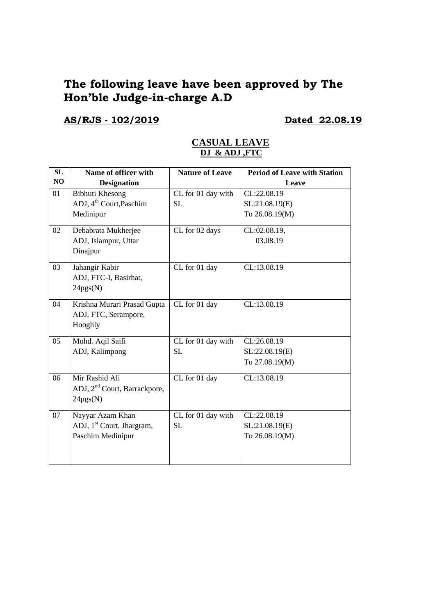# **The following leave have been approved by The Hon'ble Judge-in-charge A.D**

## **AS/RJS - 102/2019 Dated 22.08.19**

|    | <u>DJ &amp; ADJ ,FTC</u>                 |                        |                                     |
|----|------------------------------------------|------------------------|-------------------------------------|
| SL | Name of officer with                     | <b>Nature of Leave</b> | <b>Period of Leave with Station</b> |
| NO | <b>Designation</b>                       |                        | Leave                               |
| 01 | <b>Bibhuti Khesong</b>                   | CL for 01 day with     | CL:22.08.19                         |
|    | ADJ, 4 <sup>th</sup> Court, Paschim      | <b>SL</b>              | SL:21.08.19(E)                      |
|    | Medinipur                                |                        | To 26.08.19(M)                      |
| 02 | Debabrata Mukherjee                      | CL for 02 days         | CL:02.08.19,                        |
|    | ADJ, Islampur, Uttar                     |                        | 03.08.19                            |
|    | Dinajpur                                 |                        |                                     |
| 03 | Jahangir Kabir                           | CL for 01 day          | CL:13.08.19                         |
|    | ADJ, FTC-I, Basirhat,                    |                        |                                     |
|    | 24pgs(N)                                 |                        |                                     |
| 04 | Krishna Murari Prasad Gupta              | CL for 01 day          | CL:13.08.19                         |
|    | ADJ, FTC, Serampore,                     |                        |                                     |
|    | Hooghly                                  |                        |                                     |
| 05 | Mohd. Aqil Saifi                         | CL for 01 day with     | CL:26.08.19                         |
|    | ADJ, Kalimpong                           | <b>SL</b>              | SL:22.08.19(E)                      |
|    |                                          |                        | To 27.08.19(M)                      |
| 06 | Mir Rashid Ali                           | CL for 01 day          | CL:13.08.19                         |
|    | ADJ, 2 <sup>nd</sup> Court, Barrackpore, |                        |                                     |
|    | 24pgs(N)                                 |                        |                                     |
| 07 | Nayyar Azam Khan                         | CL for 01 day with     | CL:22.08.19                         |
|    | ADJ, 1 <sup>st</sup> Court, Jhargram,    | SL                     | SL:21.08.19(E)                      |
|    | Paschim Medinipur                        |                        | To 26.08.19(M)                      |
|    |                                          |                        |                                     |
|    |                                          |                        |                                     |

### **CASUAL LEAVE DJ & ADJ ,FTC**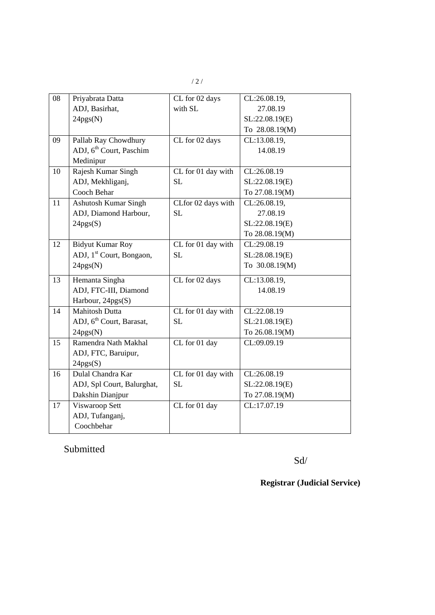| 08 | Priyabrata Datta                     | CL for 02 days     | CL:26.08.19,   |
|----|--------------------------------------|--------------------|----------------|
|    | ADJ, Basirhat,                       | with SL            | 27.08.19       |
|    | 24pgs(N)                             |                    | SL:22.08.19(E) |
|    |                                      |                    | To 28.08.19(M) |
| 09 | Pallab Ray Chowdhury                 | CL for 02 days     | CL:13.08.19,   |
|    | ADJ, 6 <sup>th</sup> Court, Paschim  |                    | 14.08.19       |
|    | Medinipur                            |                    |                |
| 10 | Rajesh Kumar Singh                   | CL for 01 day with | CL:26.08.19    |
|    | ADJ, Mekhliganj,                     | SL                 | SL:22.08.19(E) |
|    | Cooch Behar                          |                    | To 27.08.19(M) |
| 11 | <b>Ashutosh Kumar Singh</b>          | CLfor 02 days with | CL:26.08.19,   |
|    | ADJ, Diamond Harbour,                | <b>SL</b>          | 27.08.19       |
|    | 24pgs(S)                             |                    | SL:22.08.19(E) |
|    |                                      |                    | To 28.08.19(M) |
| 12 | <b>Bidyut Kumar Roy</b>              | CL for 01 day with | CL:29.08.19    |
|    | ADJ, 1 <sup>st</sup> Court, Bongaon, | <b>SL</b>          | SL:28.08.19(E) |
|    | 24pgs(N)                             |                    | To 30.08.19(M) |
| 13 | Hemanta Singha                       | CL for 02 days     | CL:13.08.19,   |
|    | ADJ, FTC-III, Diamond                |                    | 14.08.19       |
|    | Harbour, 24pgs(S)                    |                    |                |
| 14 | <b>Mahitosh Dutta</b>                | CL for 01 day with | CL:22.08.19    |
|    | ADJ, 6 <sup>th</sup> Court, Barasat, | <b>SL</b>          | SL:21.08.19(E) |
|    | 24pgs(N)                             |                    | To 26.08.19(M) |
| 15 | Ramendra Nath Makhal                 | CL for 01 day      | CL:09.09.19    |
|    | ADJ, FTC, Baruipur,                  |                    |                |
|    | 24pgs(S)                             |                    |                |
| 16 | Dulal Chandra Kar                    | CL for 01 day with | CL:26.08.19    |
|    | ADJ, Spl Court, Balurghat,           | <b>SL</b>          | SL:22.08.19(E) |
|    | Dakshin Dianjpur                     |                    | To 27.08.19(M) |
| 17 | Viswaroop Sett                       | CL for 01 day      | CL:17.07.19    |
|    | ADJ, Tufanganj,                      |                    |                |
|    | Coochbehar                           |                    |                |
|    |                                      |                    |                |

Submitted

Sd/

**Registrar (Judicial Service)**